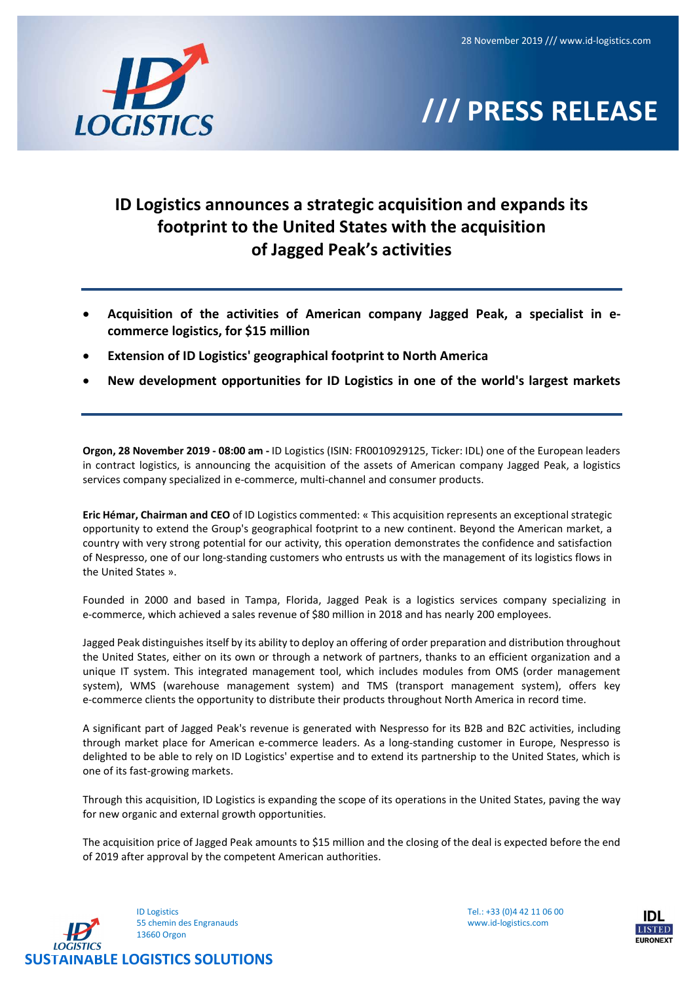

# /// PRESS RELEASE

## ID Logistics announces a strategic acquisition and expands its footprint to the United States with the acquisition of Jagged Peak's activities

- Acquisition of the activities of American company Jagged Peak, a specialist in ecommerce logistics, for \$15 million
- Extension of ID Logistics' geographical footprint to North America
- New development opportunities for ID Logistics in one of the world's largest markets

Orgon, 28 November 2019 - 08:00 am - ID Logistics (ISIN: FR0010929125, Ticker: IDL) one of the European leaders in contract logistics, is announcing the acquisition of the assets of American company Jagged Peak, a logistics services company specialized in e-commerce, multi-channel and consumer products.

Eric Hémar, Chairman and CEO of ID Logistics commented: « This acquisition represents an exceptional strategic opportunity to extend the Group's geographical footprint to a new continent. Beyond the American market, a country with very strong potential for our activity, this operation demonstrates the confidence and satisfaction of Nespresso, one of our long-standing customers who entrusts us with the management of its logistics flows in the United States ».

Founded in 2000 and based in Tampa, Florida, Jagged Peak is a logistics services company specializing in e-commerce, which achieved a sales revenue of \$80 million in 2018 and has nearly 200 employees.

Jagged Peak distinguishes itself by its ability to deploy an offering of order preparation and distribution throughout the United States, either on its own or through a network of partners, thanks to an efficient organization and a unique IT system. This integrated management tool, which includes modules from OMS (order management system), WMS (warehouse management system) and TMS (transport management system), offers key e-commerce clients the opportunity to distribute their products throughout North America in record time.

A significant part of Jagged Peak's revenue is generated with Nespresso for its B2B and B2C activities, including through market place for American e-commerce leaders. As a long-standing customer in Europe, Nespresso is delighted to be able to rely on ID Logistics' expertise and to extend its partnership to the United States, which is one of its fast-growing markets.

Through this acquisition, ID Logistics is expanding the scope of its operations in the United States, paving the way for new organic and external growth opportunities.

The acquisition price of Jagged Peak amounts to \$15 million and the closing of the deal is expected before the end of 2019 after approval by the competent American authorities.